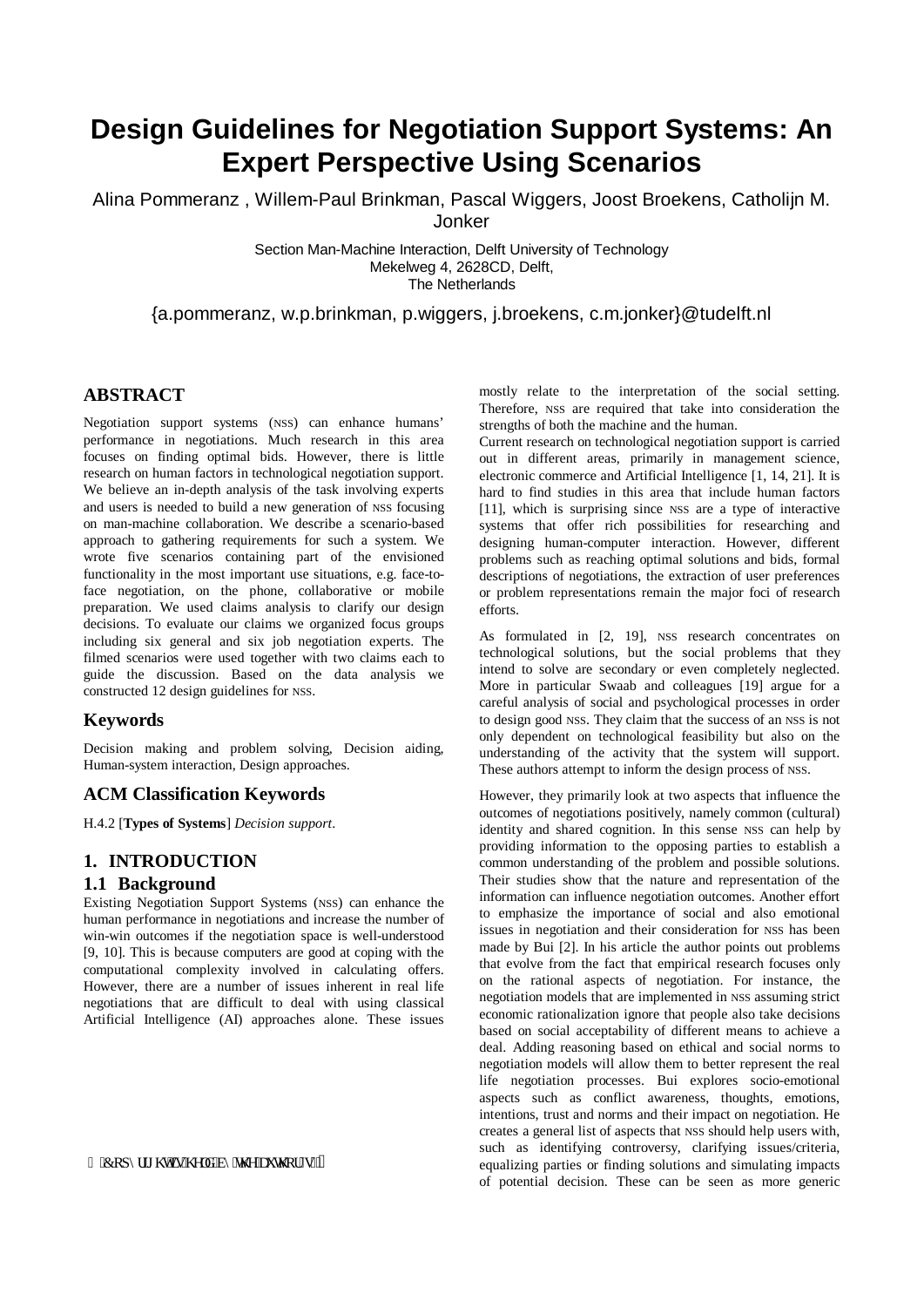# **Design Guidelines for Negotiation Support Systems: An Expert Perspective Using Scenarios**

Alina Pommeranz , Willem-Paul Brinkman, Pascal Wiggers, Joost Broekens, Catholijn M. Jonker

> Section Man-Machine Interaction, Delft University of Technology Mekelweg 4, 2628CD, Delft, The Netherlands

{a.pommeranz, w.p.brinkman, p.wiggers, j.broekens, c.m.jonker}@tudelft.nl

## **ABSTRACT**

Negotiation support systems (NSS) can enhance humans' performance in negotiations. Much research in this area focuses on finding optimal bids. However, there is little research on human factors in technological negotiation support. We believe an in-depth analysis of the task involving experts and users is needed to build a new generation of NSS focusing on man-machine collaboration. We describe a scenario-based approach to gathering requirements for such a system. We wrote five scenarios containing part of the envisioned functionality in the most important use situations, e.g. face-toface negotiation, on the phone, collaborative or mobile preparation. We used claims analysis to clarify our design decisions. To evaluate our claims we organized focus groups including six general and six job negotiation experts. The filmed scenarios were used together with two claims each to guide the discussion. Based on the data analysis we constructed 12 design guidelines for NSS.

### **Keywords**

Decision making and problem solving, Decision aiding, Human-system interaction, Design approaches.

#### **ACM Classification Keywords**

H.4.2 [**Types of Systems**] *Decision support*.

## **1. INTRODUCTION 1.1 Background**

Existing Negotiation Support Systems (NSS) can enhance the human performance in negotiations and increase the number of win-win outcomes if the negotiation space is well-understood [9, 10]. This is because computers are good at coping with the computational complexity involved in calculating offers. However, there are a number of issues inherent in real life negotiations that are difficult to deal with using classical Artificial Intelligence (AI) approaches alone. These issues

mostly relate to the interpretation of the social setting. Therefore, NSS are required that take into consideration the strengths of both the machine and the human.

Current research on technological negotiation support is carried out in different areas, primarily in management science, electronic commerce and Artificial Intelligence [1, 14, 21]. It is hard to find studies in this area that include human factors [11], which is surprising since NSS are a type of interactive systems that offer rich possibilities for researching and designing human-computer interaction. However, different problems such as reaching optimal solutions and bids, formal descriptions of negotiations, the extraction of user preferences or problem representations remain the major foci of research efforts.

As formulated in [2, 19], NSS research concentrates on technological solutions, but the social problems that they intend to solve are secondary or even completely neglected. More in particular Swaab and colleagues [19] argue for a careful analysis of social and psychological processes in order to design good NSS. They claim that the success of an NSS is not only dependent on technological feasibility but also on the understanding of the activity that the system will support. These authors attempt to inform the design process of NSS.

However, they primarily look at two aspects that influence the outcomes of negotiations positively, namely common (cultural) identity and shared cognition. In this sense NSS can help by providing information to the opposing parties to establish a common understanding of the problem and possible solutions. Their studies show that the nature and representation of the information can influence negotiation outcomes. Another effort to emphasize the importance of social and also emotional issues in negotiation and their consideration for NSS has been made by Bui [2]. In his article the author points out problems that evolve from the fact that empirical research focuses only on the rational aspects of negotiation. For instance, the negotiation models that are implemented in NSS assuming strict economic rationalization ignore that people also take decisions based on social acceptability of different means to achieve a deal. Adding reasoning based on ethical and social norms to negotiation models will allow them to better represent the real life negotiation processes. Bui explores socio-emotional aspects such as conflict awareness, thoughts, emotions, intentions, trust and norms and their impact on negotiation. He creates a general list of aspects that NSS should help users with, such as identifying controversy, clarifying issues/criteria, equalizing parties or finding solutions and simulating impacts of potential decision. These can be seen as more generic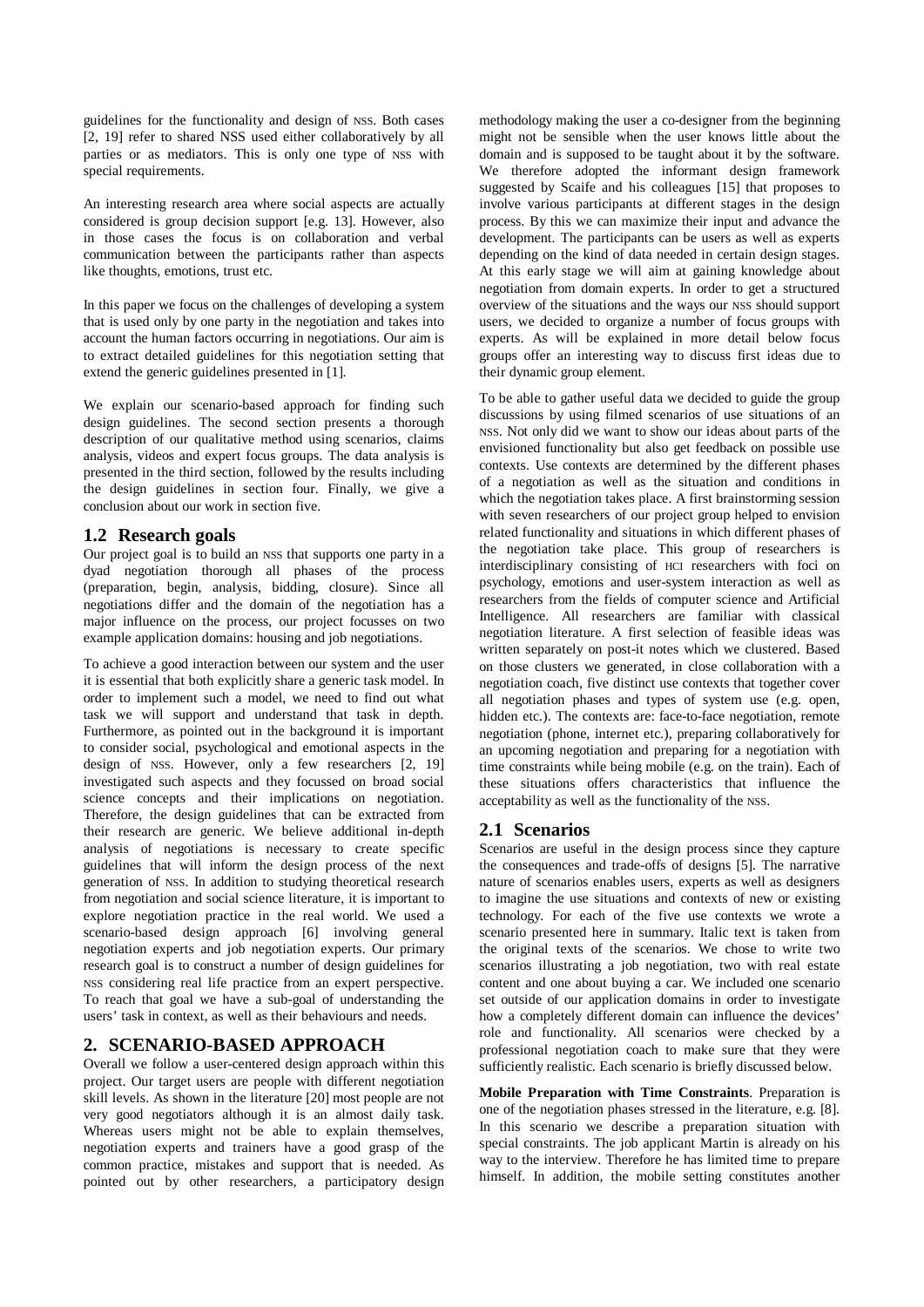guidelines for the functionality and design of NSS. Both cases [2, 19] refer to shared NSS used either collaboratively by all parties or as mediators. This is only one type of NSS with special requirements.

An interesting research area where social aspects are actually considered is group decision support [e.g. 13]. However, also in those cases the focus is on collaboration and verbal communication between the participants rather than aspects like thoughts, emotions, trust etc.

In this paper we focus on the challenges of developing a system that is used only by one party in the negotiation and takes into account the human factors occurring in negotiations. Our aim is to extract detailed guidelines for this negotiation setting that extend the generic guidelines presented in [1].

We explain our scenario-based approach for finding such design guidelines. The second section presents a thorough description of our qualitative method using scenarios, claims analysis, videos and expert focus groups. The data analysis is presented in the third section, followed by the results including the design guidelines in section four. Finally, we give a conclusion about our work in section five.

## **1.2 Research goals**

Our project goal is to build an NSS that supports one party in a dyad negotiation thorough all phases of the process (preparation, begin, analysis, bidding, closure). Since all negotiations differ and the domain of the negotiation has a major influence on the process, our project focusses on two example application domains: housing and job negotiations.

To achieve a good interaction between our system and the user it is essential that both explicitly share a generic task model. In order to implement such a model, we need to find out what task we will support and understand that task in depth. Furthermore, as pointed out in the background it is important to consider social, psychological and emotional aspects in the design of NSS. However, only a few researchers [2, 19] investigated such aspects and they focussed on broad social science concepts and their implications on negotiation. Therefore, the design guidelines that can be extracted from their research are generic. We believe additional in-depth analysis of negotiations is necessary to create specific guidelines that will inform the design process of the next generation of NSS. In addition to studying theoretical research from negotiation and social science literature, it is important to explore negotiation practice in the real world. We used a scenario-based design approach [6] involving general negotiation experts and job negotiation experts. Our primary research goal is to construct a number of design guidelines for NSS considering real life practice from an expert perspective. To reach that goal we have a sub-goal of understanding the users' task in context, as well as their behaviours and needs.

# **2. SCENARIO-BASED APPROACH**

Overall we follow a user-centered design approach within this project. Our target users are people with different negotiation skill levels. As shown in the literature [20] most people are not very good negotiators although it is an almost daily task. Whereas users might not be able to explain themselves, negotiation experts and trainers have a good grasp of the common practice, mistakes and support that is needed. As pointed out by other researchers, a participatory design

methodology making the user a co-designer from the beginning might not be sensible when the user knows little about the domain and is supposed to be taught about it by the software. We therefore adopted the informant design framework suggested by Scaife and his colleagues [15] that proposes to involve various participants at different stages in the design process. By this we can maximize their input and advance the development. The participants can be users as well as experts depending on the kind of data needed in certain design stages. At this early stage we will aim at gaining knowledge about negotiation from domain experts. In order to get a structured overview of the situations and the ways our NSS should support users, we decided to organize a number of focus groups with experts. As will be explained in more detail below focus groups offer an interesting way to discuss first ideas due to their dynamic group element.

To be able to gather useful data we decided to guide the group discussions by using filmed scenarios of use situations of an NSS. Not only did we want to show our ideas about parts of the envisioned functionality but also get feedback on possible use contexts. Use contexts are determined by the different phases of a negotiation as well as the situation and conditions in which the negotiation takes place. A first brainstorming session with seven researchers of our project group helped to envision related functionality and situations in which different phases of the negotiation take place. This group of researchers is interdisciplinary consisting of HCI researchers with foci on psychology, emotions and user-system interaction as well as researchers from the fields of computer science and Artificial Intelligence. All researchers are familiar with classical negotiation literature. A first selection of feasible ideas was written separately on post-it notes which we clustered. Based on those clusters we generated, in close collaboration with a negotiation coach, five distinct use contexts that together cover all negotiation phases and types of system use (e.g. open, hidden etc.). The contexts are: face-to-face negotiation, remote negotiation (phone, internet etc.), preparing collaboratively for an upcoming negotiation and preparing for a negotiation with time constraints while being mobile (e.g. on the train). Each of these situations offers characteristics that influence the acceptability as well as the functionality of the NSS.

## **2.1 Scenarios**

Scenarios are useful in the design process since they capture the consequences and trade-offs of designs [5]. The narrative nature of scenarios enables users, experts as well as designers to imagine the use situations and contexts of new or existing technology. For each of the five use contexts we wrote a scenario presented here in summary. Italic text is taken from the original texts of the scenarios. We chose to write two scenarios illustrating a job negotiation, two with real estate content and one about buying a car. We included one scenario set outside of our application domains in order to investigate how a completely different domain can influence the devices' role and functionality. All scenarios were checked by a professional negotiation coach to make sure that they were sufficiently realistic. Each scenario is briefly discussed below.

**Mobile Preparation with Time Constraints**. Preparation is one of the negotiation phases stressed in the literature, e.g. [8]. In this scenario we describe a preparation situation with special constraints. The job applicant Martin is already on his way to the interview. Therefore he has limited time to prepare himself. In addition, the mobile setting constitutes another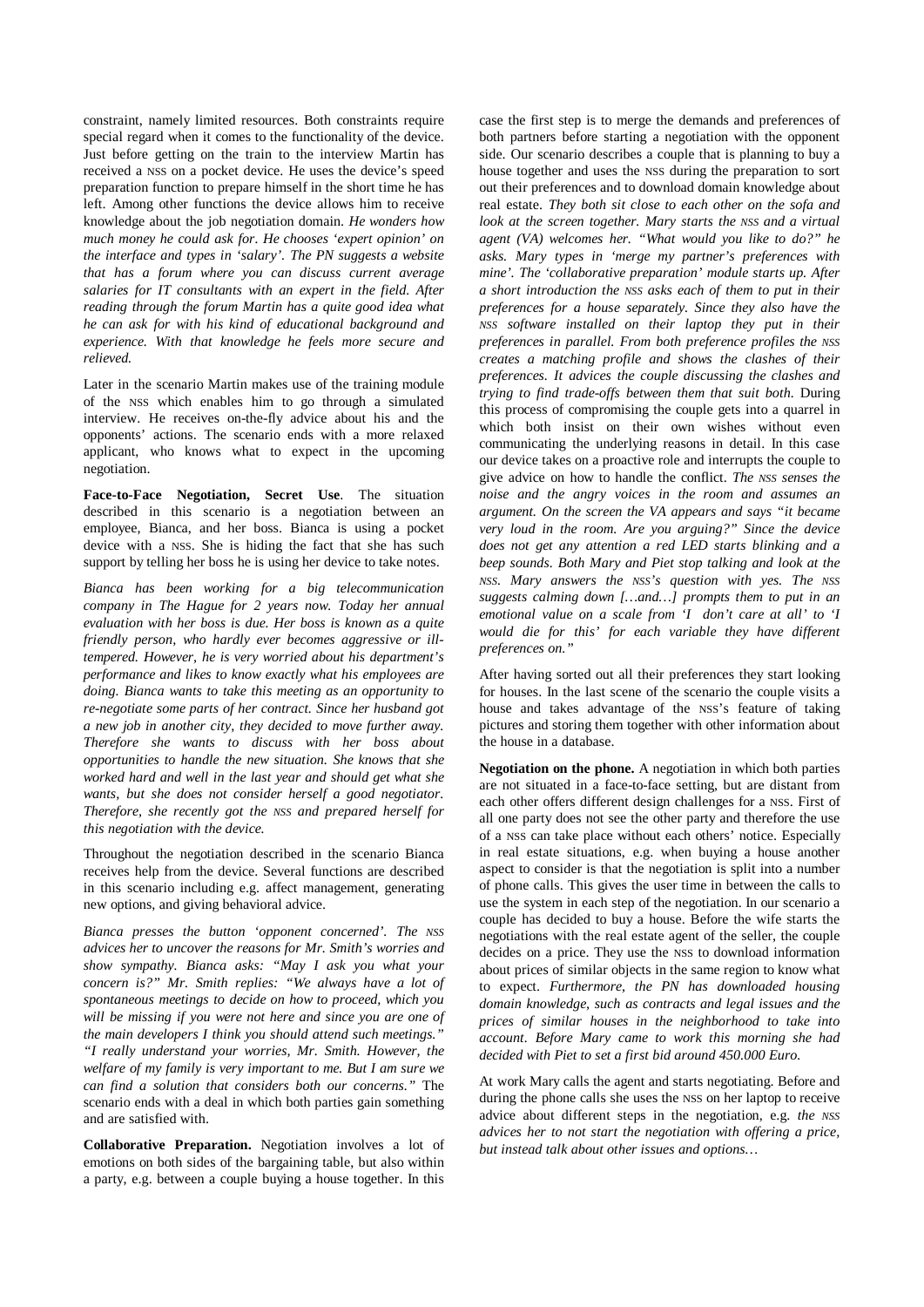constraint, namely limited resources. Both constraints require special regard when it comes to the functionality of the device. Just before getting on the train to the interview Martin has received a NSS on a pocket device. He uses the device's speed preparation function to prepare himself in the short time he has left. Among other functions the device allows him to receive knowledge about the job negotiation domain. *He wonders how much money he could ask for. He chooses 'expert opinion' on the interface and types in 'salary'. The PN suggests a website that has a forum where you can discuss current average salaries for IT consultants with an expert in the field. After reading through the forum Martin has a quite good idea what he can ask for with his kind of educational background and experience. With that knowledge he feels more secure and relieved.*

Later in the scenario Martin makes use of the training module of the NSS which enables him to go through a simulated interview. He receives on-the-fly advice about his and the opponents' actions. The scenario ends with a more relaxed applicant, who knows what to expect in the upcoming negotiation.

**Face-to-Face Negotiation, Secret Use**. The situation described in this scenario is a negotiation between an employee, Bianca, and her boss. Bianca is using a pocket device with a NSS. She is hiding the fact that she has such support by telling her boss he is using her device to take notes.

*Bianca has been working for a big telecommunication company in The Hague for 2 years now. Today her annual evaluation with her boss is due. Her boss is known as a quite friendly person, who hardly ever becomes aggressive or illtempered. However, he is very worried about his department's performance and likes to know exactly what his employees are doing. Bianca wants to take this meeting as an opportunity to re-negotiate some parts of her contract. Since her husband got a new job in another city, they decided to move further away. Therefore she wants to discuss with her boss about opportunities to handle the new situation. She knows that she worked hard and well in the last year and should get what she wants, but she does not consider herself a good negotiator. Therefore, she recently got the NSS and prepared herself for this negotiation with the device.*

Throughout the negotiation described in the scenario Bianca receives help from the device. Several functions are described in this scenario including e.g. affect management, generating new options, and giving behavioral advice.

*Bianca presses the button 'opponent concerned'. The NSS advices her to uncover the reasons for Mr. Smith's worries and show sympathy. Bianca asks: "May I ask you what your concern is?" Mr. Smith replies: "We always have a lot of spontaneous meetings to decide on how to proceed, which you will be missing if you were not here and since you are one of the main developers I think you should attend such meetings." "I really understand your worries, Mr. Smith. However, the welfare of my family is very important to me. But I am sure we can find a solution that considers both our concerns."* The scenario ends with a deal in which both parties gain something and are satisfied with.

**Collaborative Preparation.** Negotiation involves a lot of emotions on both sides of the bargaining table, but also within a party, e.g. between a couple buying a house together. In this

case the first step is to merge the demands and preferences of both partners before starting a negotiation with the opponent side. Our scenario describes a couple that is planning to buy a house together and uses the NSS during the preparation to sort out their preferences and to download domain knowledge about real estate. *They both sit close to each other on the sofa and look at the screen together. Mary starts the NSS and a virtual agent (VA) welcomes her. "What would you like to do?" he asks. Mary types in 'merge my partner's preferences with mine'. The 'collaborative preparation' module starts up. After a short introduction the NSS asks each of them to put in their preferences for a house separately. Since they also have the NSS software installed on their laptop they put in their preferences in parallel. From both preference profiles the NSS creates a matching profile and shows the clashes of their preferences. It advices the couple discussing the clashes and trying to find trade-offs between them that suit both.* During this process of compromising the couple gets into a quarrel in which both insist on their own wishes without even communicating the underlying reasons in detail. In this case our device takes on a proactive role and interrupts the couple to give advice on how to handle the conflict. *The NSS senses the noise and the angry voices in the room and assumes an argument. On the screen the VA appears and says "it became very loud in the room. Are you arguing?" Since the device does not get any attention a red LED starts blinking and a beep sounds. Both Mary and Piet stop talking and look at the NSS. Mary answers the NSS's question with yes. The NSS suggests calming down […and…] prompts them to put in an emotional value on a scale from 'I don't care at all' to 'I would die for this' for each variable they have different preferences on."*

After having sorted out all their preferences they start looking for houses. In the last scene of the scenario the couple visits a house and takes advantage of the NSS's feature of taking pictures and storing them together with other information about the house in a database.

**Negotiation on the phone.** A negotiation in which both parties are not situated in a face-to-face setting, but are distant from each other offers different design challenges for a NSS. First of all one party does not see the other party and therefore the use of a NSS can take place without each others' notice. Especially in real estate situations, e.g. when buying a house another aspect to consider is that the negotiation is split into a number of phone calls. This gives the user time in between the calls to use the system in each step of the negotiation. In our scenario a couple has decided to buy a house. Before the wife starts the negotiations with the real estate agent of the seller, the couple decides on a price. They use the NSS to download information about prices of similar objects in the same region to know what to expect. *Furthermore, the PN has downloaded housing domain knowledge, such as contracts and legal issues and the prices of similar houses in the neighborhood to take into account. Before Mary came to work this morning she had decided with Piet to set a first bid around 450.000 Euro.*

At work Mary calls the agent and starts negotiating. Before and during the phone calls she uses the NSS on her laptop to receive advice about different steps in the negotiation, e.g. *the NSS advices her to not start the negotiation with offering a price, but instead talk about other issues and options…*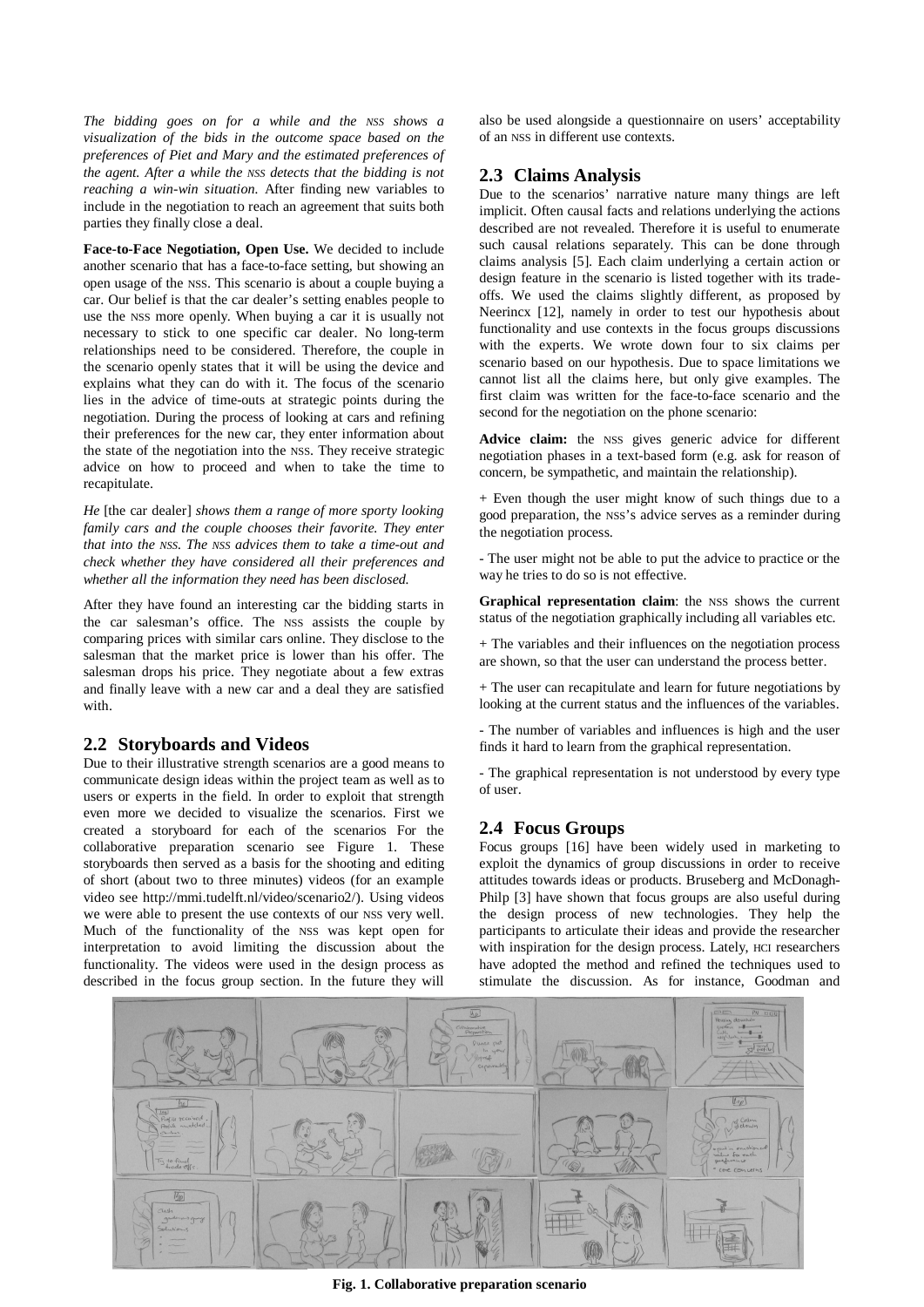*The bidding goes on for a while and the NSS shows a visualization of the bids in the outcome space based on the preferences of Piet and Mary and the estimated preferences of the agent. After a while the NSS detects that the bidding is not reaching a win-win situation.* After finding new variables to include in the negotiation to reach an agreement that suits both parties they finally close a deal.

**Face-to-Face Negotiation, Open Use.** We decided to include another scenario that has a face-to-face setting, but showing an open usage of the NSS. This scenario is about a couple buying a car. Our belief is that the car dealer's setting enables people to use the NSS more openly. When buying a car it is usually not necessary to stick to one specific car dealer. No long-term relationships need to be considered. Therefore, the couple in the scenario openly states that it will be using the device and explains what they can do with it. The focus of the scenario lies in the advice of time-outs at strategic points during the negotiation. During the process of looking at cars and refining their preferences for the new car, they enter information about the state of the negotiation into the NSS. They receive strategic advice on how to proceed and when to take the time to recapitulate.

*He* [the car dealer] *shows them a range of more sporty looking family cars and the couple chooses their favorite. They enter that into the NSS. The NSS advices them to take a time-out and check whether they have considered all their preferences and whether all the information they need has been disclosed.*

After they have found an interesting car the bidding starts in the car salesman's office. The NSS assists the couple by comparing prices with similar cars online. They disclose to the salesman that the market price is lower than his offer. The salesman drops his price. They negotiate about a few extras and finally leave with a new car and a deal they are satisfied with.

## **2.2 Storyboards and Videos**

Due to their illustrative strength scenarios are a good means to communicate design ideas within the project team as well as to users or experts in the field. In order to exploit that strength even more we decided to visualize the scenarios. First we created a storyboard for each of the scenarios For the collaborative preparation scenario see Figure 1. These storyboards then served as a basis for the shooting and editing of short (about two to three minutes) videos (for an example video see [http://mmi.tudelft.nl/video/scenario2/\).](http://mmi.tudelft.nl/video/scenario2/).) Using videos we were able to present the use contexts of our NSS very well. Much of the functionality of the NSS was kept open for interpretation to avoid limiting the discussion about the functionality. The videos were used in the design process as described in the focus group section. In the future they will

also be used alongside a questionnaire on users' acceptability of an NSS in different use contexts.

## **2.3 Claims Analysis**

Due to the scenarios' narrative nature many things are left implicit. Often causal facts and relations underlying the actions described are not revealed. Therefore it is useful to enumerate such causal relations separately. This can be done through claims analysis [5]. Each claim underlying a certain action or design feature in the scenario is listed together with its tradeoffs. We used the claims slightly different, as proposed by Neerincx [12], namely in order to test our hypothesis about functionality and use contexts in the focus groups discussions with the experts. We wrote down four to six claims per scenario based on our hypothesis. Due to space limitations we cannot list all the claims here, but only give examples. The first claim was written for the face-to-face scenario and the second for the negotiation on the phone scenario:

**Advice claim:** the NSS gives generic advice for different negotiation phases in a text-based form (e.g. ask for reason of concern, be sympathetic, and maintain the relationship).

+ Even though the user might know of such things due to a good preparation, the NSS's advice serves as a reminder during the negotiation process.

- The user might not be able to put the advice to practice or the way he tries to do so is not effective.

**Graphical representation claim**: the NSS shows the current status of the negotiation graphically including all variables etc.

+ The variables and their influences on the negotiation process are shown, so that the user can understand the process better.

+ The user can recapitulate and learn for future negotiations by looking at the current status and the influences of the variables.

- The number of variables and influences is high and the user finds it hard to learn from the graphical representation.

- The graphical representation is not understood by every type of user.

#### **2.4 Focus Groups**

Focus groups [16] have been widely used in marketing to exploit the dynamics of group discussions in order to receive attitudes towards ideas or products. Bruseberg and McDonagh-Philp [3] have shown that focus groups are also useful during the design process of new technologies. They help the participants to articulate their ideas and provide the researcher with inspiration for the design process. Lately, HCI researchers have adopted the method and refined the techniques used to stimulate the discussion. As for instance, Goodman and



**Fig. 1. Collaborative preparation scenario**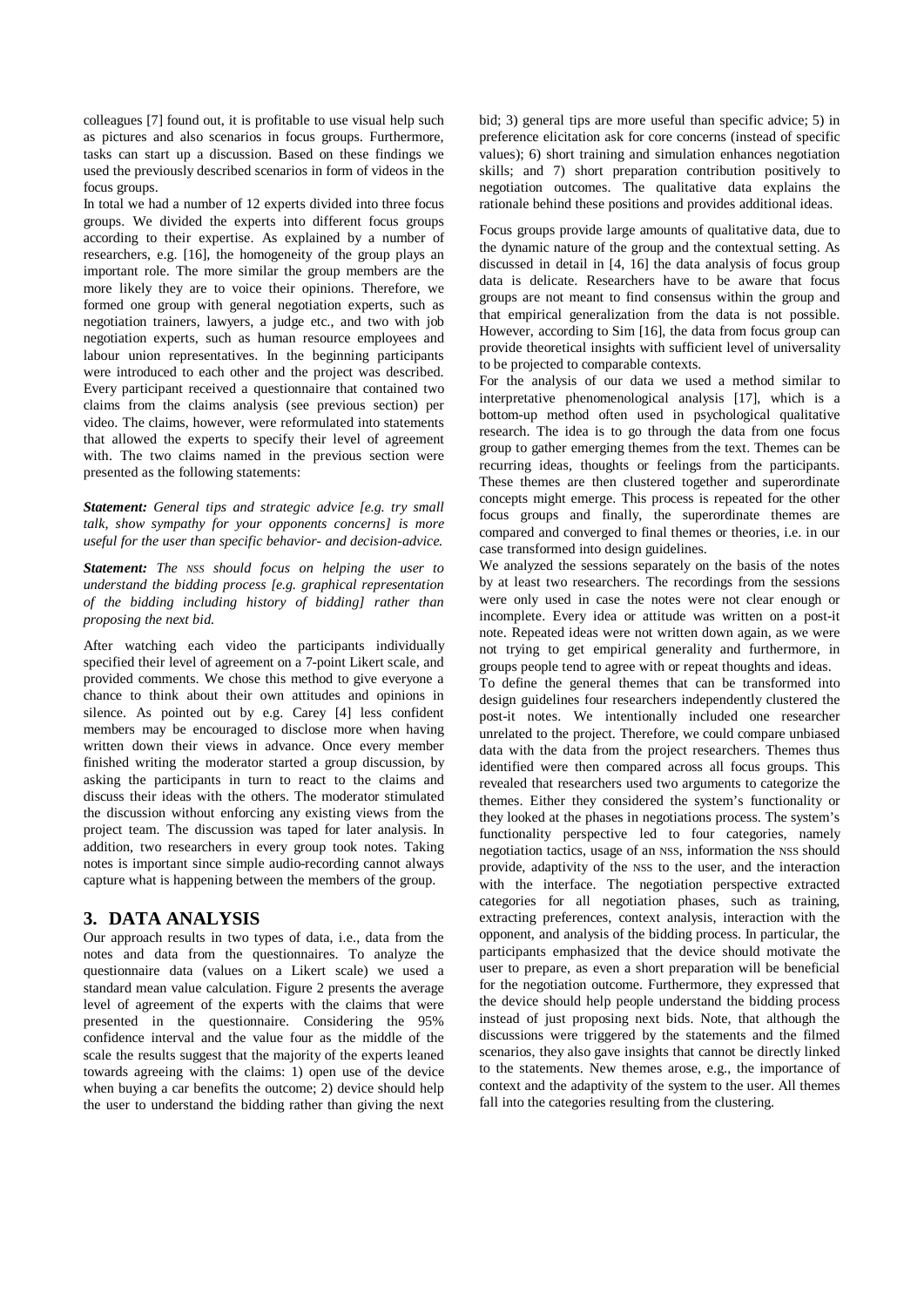colleagues [7] found out, it is profitable to use visual help such as pictures and also scenarios in focus groups. Furthermore, tasks can start up a discussion. Based on these findings we used the previously described scenarios in form of videos in the focus groups.

In total we had a number of 12 experts divided into three focus groups. We divided the experts into different focus groups according to their expertise. As explained by a number of researchers, e.g. [16], the homogeneity of the group plays an important role. The more similar the group members are the more likely they are to voice their opinions. Therefore, we formed one group with general negotiation experts, such as negotiation trainers, lawyers, a judge etc., and two with job negotiation experts, such as human resource employees and labour union representatives. In the beginning participants were introduced to each other and the project was described. Every participant received a questionnaire that contained two claims from the claims analysis (see previous section) per video. The claims, however, were reformulated into statements that allowed the experts to specify their level of agreement with. The two claims named in the previous section were presented as the following statements:

*Statement: General tips and strategic advice [e.g. try small talk, show sympathy for your opponents concerns] is more useful for the user than specific behavior- and decision-advice.*

*Statement: The NSS should focus on helping the user to understand the bidding process [e.g. graphical representation of the bidding including history of bidding] rather than proposing the next bid.*

After watching each video the participants individually specified their level of agreement on a 7-point Likert scale, and provided comments. We chose this method to give everyone a chance to think about their own attitudes and opinions in silence. As pointed out by e.g. Carey [4] less confident members may be encouraged to disclose more when having written down their views in advance. Once every member finished writing the moderator started a group discussion, by asking the participants in turn to react to the claims and discuss their ideas with the others. The moderator stimulated the discussion without enforcing any existing views from the project team. The discussion was taped for later analysis. In addition, two researchers in every group took notes. Taking notes is important since simple audio-recording cannot always capture what is happening between the members of the group.

## **3. DATA ANALYSIS**

Our approach results in two types of data, i.e., data from the notes and data from the questionnaires. To analyze the questionnaire data (values on a Likert scale) we used a standard mean value calculation. Figure 2 presents the average level of agreement of the experts with the claims that were presented in the questionnaire. Considering the 95% confidence interval and the value four as the middle of the scale the results suggest that the majority of the experts leaned towards agreeing with the claims: 1) open use of the device when buying a car benefits the outcome; 2) device should help the user to understand the bidding rather than giving the next bid; 3) general tips are more useful than specific advice; 5) in preference elicitation ask for core concerns (instead of specific values); 6) short training and simulation enhances negotiation skills; and 7) short preparation contribution positively to negotiation outcomes. The qualitative data explains the rationale behind these positions and provides additional ideas.

Focus groups provide large amounts of qualitative data, due to the dynamic nature of the group and the contextual setting. As discussed in detail in [4, 16] the data analysis of focus group data is delicate. Researchers have to be aware that focus groups are not meant to find consensus within the group and that empirical generalization from the data is not possible. However, according to Sim [16], the data from focus group can provide theoretical insights with sufficient level of universality to be projected to comparable contexts.

For the analysis of our data we used a method similar to interpretative phenomenological analysis [17], which is a bottom-up method often used in psychological qualitative research. The idea is to go through the data from one focus group to gather emerging themes from the text. Themes can be recurring ideas, thoughts or feelings from the participants. These themes are then clustered together and superordinate concepts might emerge. This process is repeated for the other focus groups and finally, the superordinate themes are compared and converged to final themes or theories, i.e. in our case transformed into design guidelines.

We analyzed the sessions separately on the basis of the notes by at least two researchers. The recordings from the sessions were only used in case the notes were not clear enough or incomplete. Every idea or attitude was written on a post-it note. Repeated ideas were not written down again, as we were not trying to get empirical generality and furthermore, in groups people tend to agree with or repeat thoughts and ideas.

To define the general themes that can be transformed into design guidelines four researchers independently clustered the post-it notes. We intentionally included one researcher unrelated to the project. Therefore, we could compare unbiased data with the data from the project researchers. Themes thus identified were then compared across all focus groups. This revealed that researchers used two arguments to categorize the themes. Either they considered the system's functionality or they looked at the phases in negotiations process. The system's functionality perspective led to four categories, namely negotiation tactics, usage of an NSS, information the NSS should provide, adaptivity of the NSS to the user, and the interaction with the interface. The negotiation perspective extracted categories for all negotiation phases, such as training, extracting preferences, context analysis, interaction with the opponent, and analysis of the bidding process. In particular, the participants emphasized that the device should motivate the user to prepare, as even a short preparation will be beneficial for the negotiation outcome. Furthermore, they expressed that the device should help people understand the bidding process instead of just proposing next bids. Note, that although the discussions were triggered by the statements and the filmed scenarios, they also gave insights that cannot be directly linked to the statements. New themes arose, e.g., the importance of context and the adaptivity of the system to the user. All themes fall into the categories resulting from the clustering.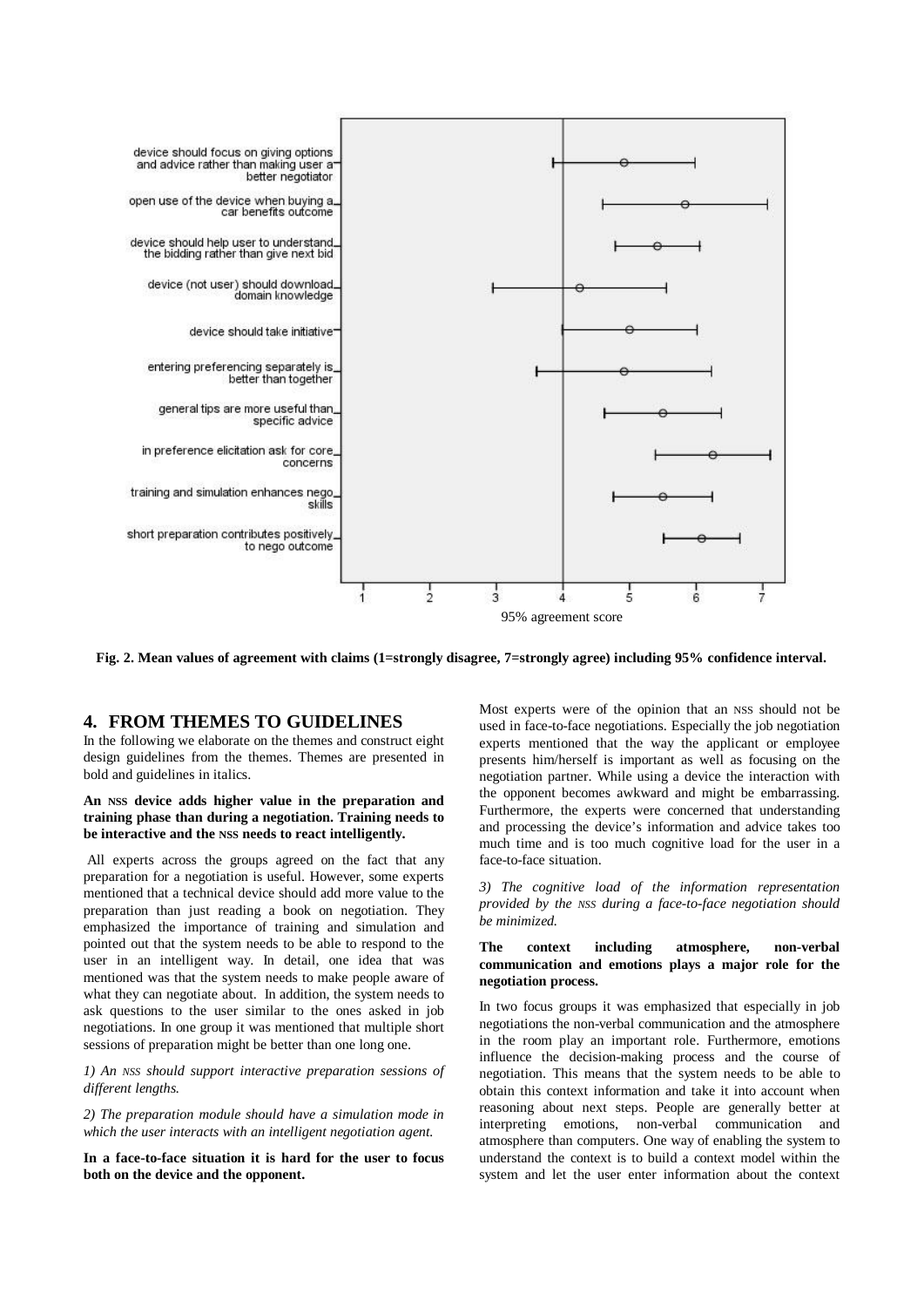

**Fig. 2. Mean values of agreement with claims (1=strongly disagree, 7=strongly agree) including 95% confidence interval.**

# **4. FROM THEMES TO GUIDELINES**

In the following we elaborate on the themes and construct eight design guidelines from the themes. Themes are presented in bold and guidelines in italics.

#### **An NSS device adds higher value in the preparation and training phase than during a negotiation. Training needs to be interactive and the NSS needs to react intelligently.**

All experts across the groups agreed on the fact that any preparation for a negotiation is useful. However, some experts mentioned that a technical device should add more value to the preparation than just reading a book on negotiation. They emphasized the importance of training and simulation and pointed out that the system needs to be able to respond to the user in an intelligent way. In detail, one idea that was mentioned was that the system needs to make people aware of what they can negotiate about. In addition, the system needs to ask questions to the user similar to the ones asked in job negotiations. In one group it was mentioned that multiple short sessions of preparation might be better than one long one.

#### *1) An NSS should support interactive preparation sessions of different lengths.*

*2) The preparation module should have a simulation mode in which the user interacts with an intelligent negotiation agent.*

**In a face-to-face situation it is hard for the user to focus both on the device and the opponent.**

Most experts were of the opinion that an NSS should not be used in face-to-face negotiations. Especially the job negotiation experts mentioned that the way the applicant or employee presents him/herself is important as well as focusing on the negotiation partner. While using a device the interaction with the opponent becomes awkward and might be embarrassing. Furthermore, the experts were concerned that understanding and processing the device's information and advice takes too much time and is too much cognitive load for the user in a face-to-face situation.

*3) The cognitive load of the information representation provided by the NSS during a face-to-face negotiation should be minimized.*

#### **The context including atmosphere, non-verbal communication and emotions plays a major role for the negotiation process.**

In two focus groups it was emphasized that especially in job negotiations the non-verbal communication and the atmosphere in the room play an important role. Furthermore, emotions influence the decision-making process and the course of negotiation. This means that the system needs to be able to obtain this context information and take it into account when reasoning about next steps. People are generally better at interpreting emotions, non-verbal communication and atmosphere than computers. One way of enabling the system to understand the context is to build a context model within the system and let the user enter information about the context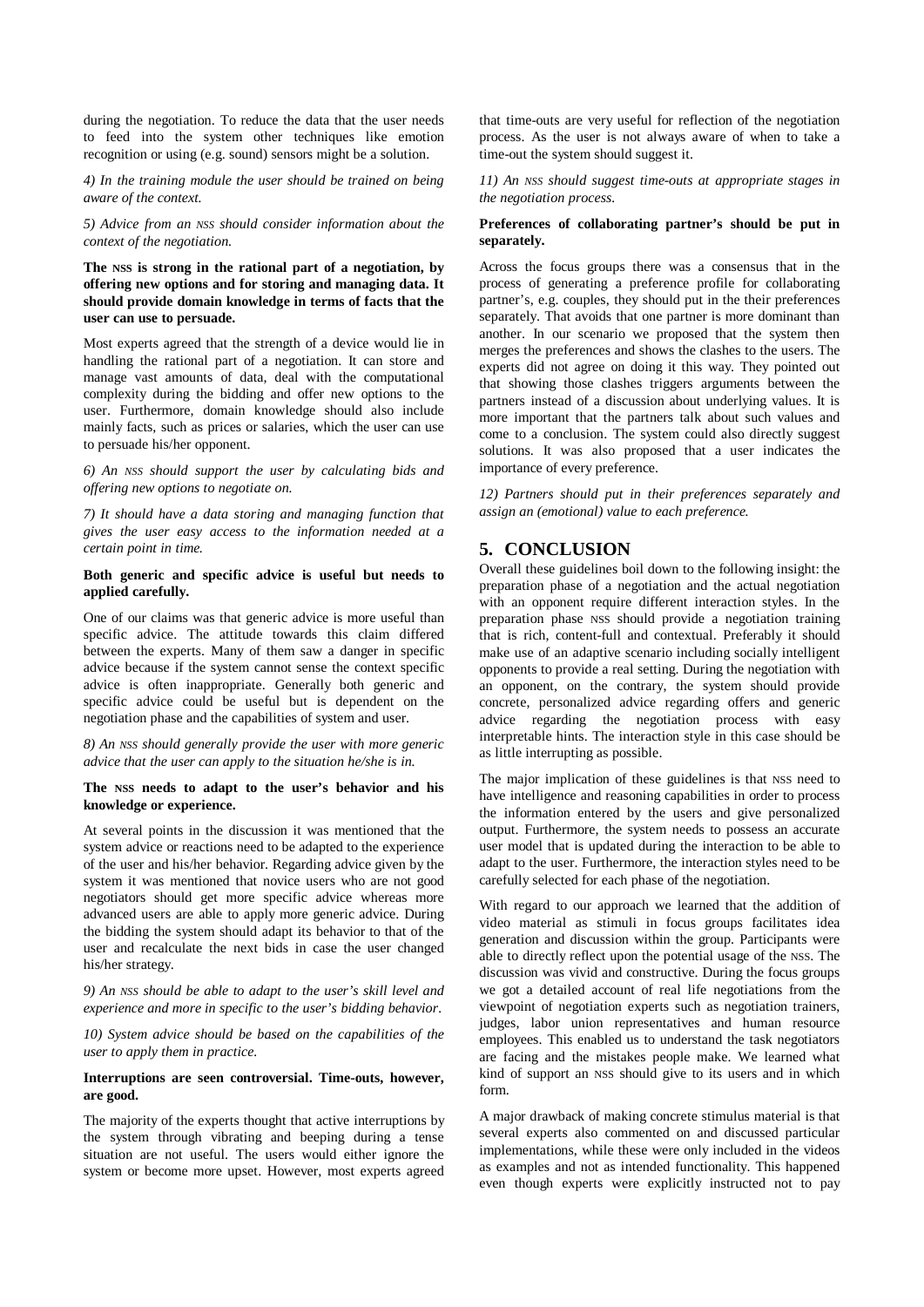during the negotiation. To reduce the data that the user needs to feed into the system other techniques like emotion recognition or using (e.g. sound) sensors might be a solution.

*4) In the training module the user should be trained on being aware of the context.*

*5) Advice from an NSS should consider information about the context of the negotiation.*

#### **The NSS is strong in the rational part of a negotiation, by offering new options and for storing and managing data. It should provide domain knowledge in terms of facts that the user can use to persuade.**

Most experts agreed that the strength of a device would lie in handling the rational part of a negotiation. It can store and manage vast amounts of data, deal with the computational complexity during the bidding and offer new options to the user. Furthermore, domain knowledge should also include mainly facts, such as prices or salaries, which the user can use to persuade his/her opponent.

*6) An NSS should support the user by calculating bids and offering new options to negotiate on.*

*7) It should have a data storing and managing function that gives the user easy access to the information needed at a certain point in time.*

#### **Both generic and specific advice is useful but needs to applied carefully.**

One of our claims was that generic advice is more useful than specific advice. The attitude towards this claim differed between the experts. Many of them saw a danger in specific advice because if the system cannot sense the context specific advice is often inappropriate. Generally both generic and specific advice could be useful but is dependent on the negotiation phase and the capabilities of system and user.

*8) An NSS should generally provide the user with more generic advice that the user can apply to the situation he/she is in.*

#### **The NSS needs to adapt to the user's behavior and his knowledge or experience.**

At several points in the discussion it was mentioned that the system advice or reactions need to be adapted to the experience of the user and his/her behavior. Regarding advice given by the system it was mentioned that novice users who are not good negotiators should get more specific advice whereas more advanced users are able to apply more generic advice. During the bidding the system should adapt its behavior to that of the user and recalculate the next bids in case the user changed his/her strategy.

*9) An NSS should be able to adapt to the user's skill level and experience and more in specific to the user's bidding behavior.*

*10) System advice should be based on the capabilities of the user to apply them in practice.*

#### **Interruptions are seen controversial. Time-outs, however, are good.**

The majority of the experts thought that active interruptions by the system through vibrating and beeping during a tense situation are not useful. The users would either ignore the system or become more upset. However, most experts agreed

that time-outs are very useful for reflection of the negotiation process. As the user is not always aware of when to take a time-out the system should suggest it.

*11) An NSS should suggest time-outs at appropriate stages in the negotiation process.*

#### **Preferences of collaborating partner's should be put in separately.**

Across the focus groups there was a consensus that in the process of generating a preference profile for collaborating partner's, e.g. couples, they should put in the their preferences separately. That avoids that one partner is more dominant than another. In our scenario we proposed that the system then merges the preferences and shows the clashes to the users. The experts did not agree on doing it this way. They pointed out that showing those clashes triggers arguments between the partners instead of a discussion about underlying values. It is more important that the partners talk about such values and come to a conclusion. The system could also directly suggest solutions. It was also proposed that a user indicates the importance of every preference.

*12) Partners should put in their preferences separately and assign an (emotional) value to each preference.*

# **5. CONCLUSION**

Overall these guidelines boil down to the following insight: the preparation phase of a negotiation and the actual negotiation with an opponent require different interaction styles. In the preparation phase NSS should provide a negotiation training that is rich, content-full and contextual. Preferably it should make use of an adaptive scenario including socially intelligent opponents to provide a real setting. During the negotiation with an opponent, on the contrary, the system should provide concrete, personalized advice regarding offers and generic advice regarding the negotiation process with easy interpretable hints. The interaction style in this case should be as little interrupting as possible.

The major implication of these guidelines is that NSS need to have intelligence and reasoning capabilities in order to process the information entered by the users and give personalized output. Furthermore, the system needs to possess an accurate user model that is updated during the interaction to be able to adapt to the user. Furthermore, the interaction styles need to be carefully selected for each phase of the negotiation.

With regard to our approach we learned that the addition of video material as stimuli in focus groups facilitates idea generation and discussion within the group. Participants were able to directly reflect upon the potential usage of the NSS. The discussion was vivid and constructive. During the focus groups we got a detailed account of real life negotiations from the viewpoint of negotiation experts such as negotiation trainers, judges, labor union representatives and human resource employees. This enabled us to understand the task negotiators are facing and the mistakes people make. We learned what kind of support an NSS should give to its users and in which form.

A major drawback of making concrete stimulus material is that several experts also commented on and discussed particular implementations, while these were only included in the videos as examples and not as intended functionality. This happened even though experts were explicitly instructed not to pay